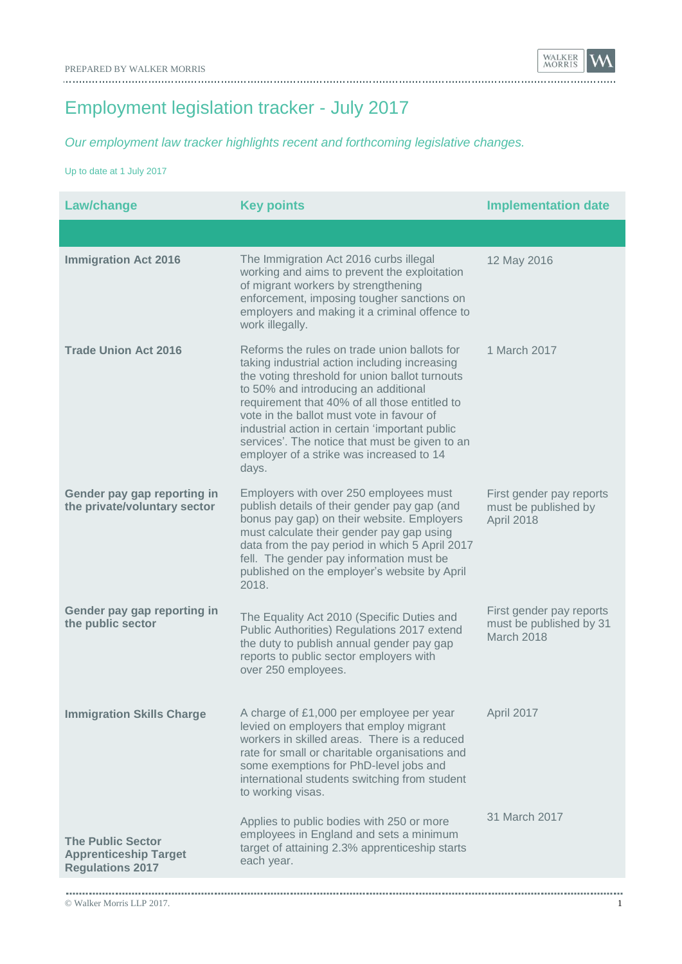Employment legislation tracker - July 2017

*Our employment law tracker highlights recent and forthcoming legislative changes.*

Up to date at 1 July 2017

| <b>Law/change</b>                                                                   | <b>Key points</b>                                                                                                                                                                                                                                                                                                                                                                                                                              | <b>Implementation date</b>                                        |  |  |
|-------------------------------------------------------------------------------------|------------------------------------------------------------------------------------------------------------------------------------------------------------------------------------------------------------------------------------------------------------------------------------------------------------------------------------------------------------------------------------------------------------------------------------------------|-------------------------------------------------------------------|--|--|
|                                                                                     |                                                                                                                                                                                                                                                                                                                                                                                                                                                |                                                                   |  |  |
| <b>Immigration Act 2016</b>                                                         | The Immigration Act 2016 curbs illegal<br>working and aims to prevent the exploitation<br>of migrant workers by strengthening<br>enforcement, imposing tougher sanctions on<br>employers and making it a criminal offence to<br>work illegally.                                                                                                                                                                                                | 12 May 2016                                                       |  |  |
| <b>Trade Union Act 2016</b>                                                         | Reforms the rules on trade union ballots for<br>taking industrial action including increasing<br>the voting threshold for union ballot turnouts<br>to 50% and introducing an additional<br>requirement that 40% of all those entitled to<br>vote in the ballot must vote in favour of<br>industrial action in certain 'important public<br>services'. The notice that must be given to an<br>employer of a strike was increased to 14<br>days. | 1 March 2017                                                      |  |  |
| Gender pay gap reporting in<br>the private/voluntary sector                         | Employers with over 250 employees must<br>publish details of their gender pay gap (and<br>bonus pay gap) on their website. Employers<br>must calculate their gender pay gap using<br>data from the pay period in which 5 April 2017<br>fell. The gender pay information must be<br>published on the employer's website by April<br>2018.                                                                                                       | First gender pay reports<br>must be published by<br>April 2018    |  |  |
| Gender pay gap reporting in<br>the public sector                                    | The Equality Act 2010 (Specific Duties and<br>Public Authorities) Regulations 2017 extend<br>the duty to publish annual gender pay gap<br>reports to public sector employers with<br>over 250 employees.                                                                                                                                                                                                                                       | First gender pay reports<br>must be published by 31<br>March 2018 |  |  |
| <b>Immigration Skills Charge</b>                                                    | A charge of £1,000 per employee per year<br>levied on employers that employ migrant<br>workers in skilled areas. There is a reduced<br>rate for small or charitable organisations and<br>some exemptions for PhD-level jobs and<br>international students switching from student<br>to working visas.                                                                                                                                          | April 2017                                                        |  |  |
| <b>The Public Sector</b><br><b>Apprenticeship Target</b><br><b>Regulations 2017</b> | Applies to public bodies with 250 or more<br>employees in England and sets a minimum<br>target of attaining 2.3% apprenticeship starts<br>each year.                                                                                                                                                                                                                                                                                           | 31 March 2017                                                     |  |  |
|                                                                                     |                                                                                                                                                                                                                                                                                                                                                                                                                                                |                                                                   |  |  |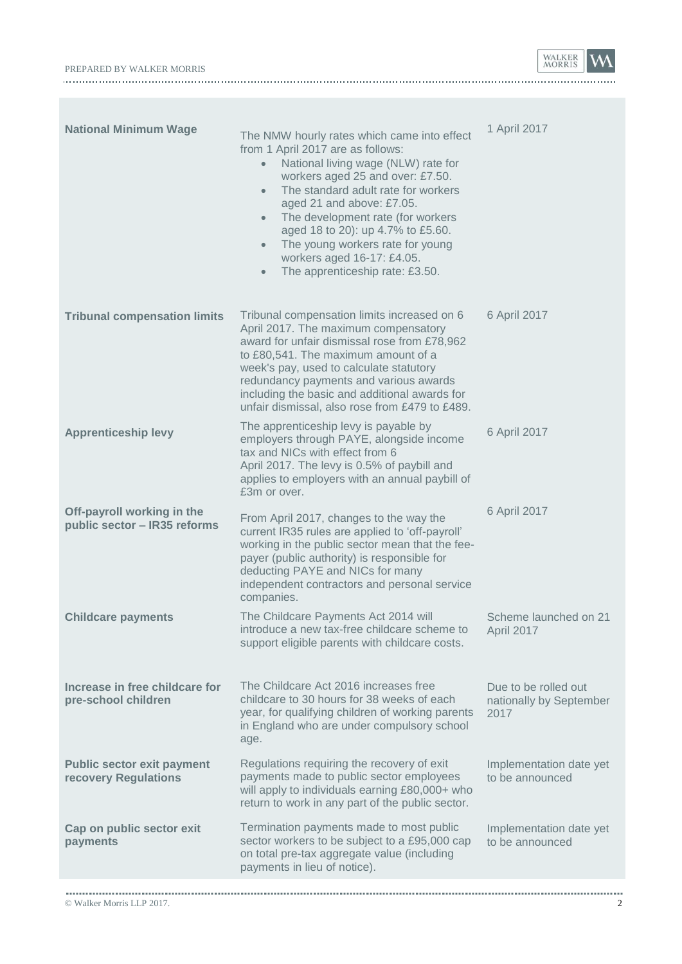|                           | А |  |
|---------------------------|---|--|
| PREPARED BY WALKER MORRIS |   |  |
|                           |   |  |

| <b>National Minimum Wage</b>                               | The NMW hourly rates which came into effect<br>from 1 April 2017 are as follows:<br>National living wage (NLW) rate for<br>$\bullet$<br>workers aged 25 and over: £7.50.<br>The standard adult rate for workers<br>$\bullet$<br>aged 21 and above: £7.05.<br>The development rate (for workers<br>$\bullet$<br>aged 18 to 20): up 4.7% to £5.60.<br>The young workers rate for young<br>$\bullet$<br>workers aged 16-17: £4.05.<br>The apprenticeship rate: £3.50.<br>$\bullet$ | 1 April 2017                                            |
|------------------------------------------------------------|---------------------------------------------------------------------------------------------------------------------------------------------------------------------------------------------------------------------------------------------------------------------------------------------------------------------------------------------------------------------------------------------------------------------------------------------------------------------------------|---------------------------------------------------------|
| <b>Tribunal compensation limits</b>                        | Tribunal compensation limits increased on 6<br>April 2017. The maximum compensatory<br>award for unfair dismissal rose from £78,962<br>to £80,541. The maximum amount of a<br>week's pay, used to calculate statutory<br>redundancy payments and various awards<br>including the basic and additional awards for<br>unfair dismissal, also rose from £479 to £489.                                                                                                              | 6 April 2017                                            |
| <b>Apprenticeship levy</b>                                 | The apprenticeship levy is payable by<br>employers through PAYE, alongside income<br>tax and NICs with effect from 6<br>April 2017. The levy is 0.5% of paybill and<br>applies to employers with an annual paybill of<br>£3m or over.                                                                                                                                                                                                                                           | 6 April 2017                                            |
| Off-payroll working in the<br>public sector - IR35 reforms | From April 2017, changes to the way the<br>current IR35 rules are applied to 'off-payroll'<br>working in the public sector mean that the fee-<br>payer (public authority) is responsible for<br>deducting PAYE and NICs for many<br>independent contractors and personal service<br>companies.                                                                                                                                                                                  | 6 April 2017                                            |
| <b>Childcare payments</b>                                  | The Childcare Payments Act 2014 will<br>introduce a new tax-free childcare scheme to<br>support eligible parents with childcare costs.                                                                                                                                                                                                                                                                                                                                          | Scheme launched on 21<br>April 2017                     |
| Increase in free childcare for<br>pre-school children      | The Childcare Act 2016 increases free<br>childcare to 30 hours for 38 weeks of each<br>year, for qualifying children of working parents<br>in England who are under compulsory school<br>age.                                                                                                                                                                                                                                                                                   | Due to be rolled out<br>nationally by September<br>2017 |
| <b>Public sector exit payment</b><br>recovery Regulations  | Regulations requiring the recovery of exit<br>payments made to public sector employees<br>will apply to individuals earning £80,000+ who<br>return to work in any part of the public sector.                                                                                                                                                                                                                                                                                    | Implementation date yet<br>to be announced              |
| Cap on public sector exit<br>payments                      | Termination payments made to most public<br>sector workers to be subject to a £95,000 cap<br>on total pre-tax aggregate value (including<br>payments in lieu of notice).                                                                                                                                                                                                                                                                                                        | Implementation date yet<br>to be announced              |